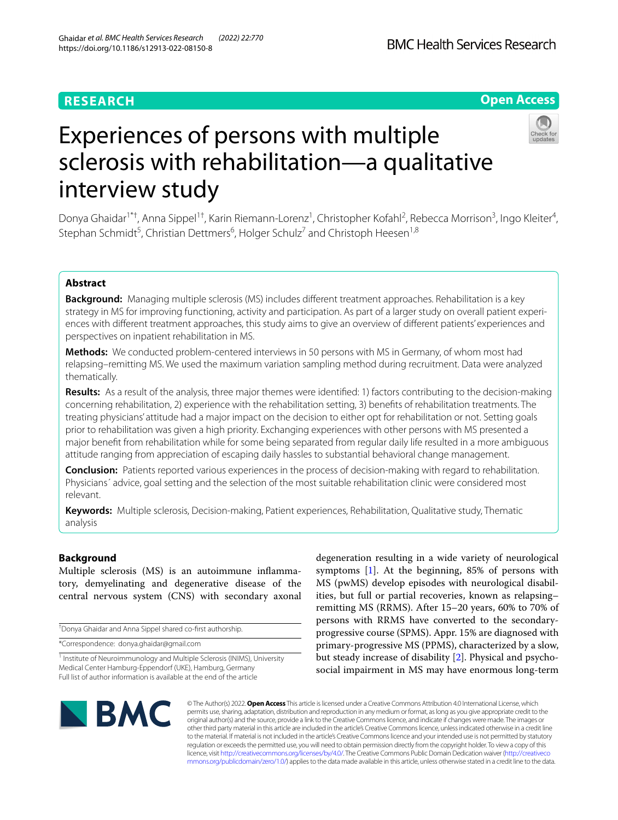# **RESEARCH**

# **Open Access**



# Experiences of persons with multiple sclerosis with rehabilitation—a qualitative interview study

Donya Ghaidar<sup>1\*†</sup>, Anna Sippel<sup>1†</sup>, Karin Riemann-Lorenz<sup>1</sup>, Christopher Kofahl<sup>2</sup>, Rebecca Morrison<sup>3</sup>, Ingo Kleiter<sup>4</sup>, Stephan Schmidt<sup>5</sup>, Christian Dettmers<sup>6</sup>, Holger Schulz<sup>7</sup> and Christoph Heesen<sup>1,8</sup>

# **Abstract**

**Background:** Managing multiple sclerosis (MS) includes diferent treatment approaches. Rehabilitation is a key strategy in MS for improving functioning, activity and participation. As part of a larger study on overall patient experiences with diferent treatment approaches, this study aims to give an overview of diferent patients' experiences and perspectives on inpatient rehabilitation in MS.

**Methods:** We conducted problem-centered interviews in 50 persons with MS in Germany, of whom most had relapsing–remitting MS. We used the maximum variation sampling method during recruitment. Data were analyzed thematically.

**Results:** As a result of the analysis, three major themes were identifed: 1) factors contributing to the decision-making concerning rehabilitation, 2) experience with the rehabilitation setting, 3) benefts of rehabilitation treatments. The treating physicians' attitude had a major impact on the decision to either opt for rehabilitation or not. Setting goals prior to rehabilitation was given a high priority. Exchanging experiences with other persons with MS presented a major beneft from rehabilitation while for some being separated from regular daily life resulted in a more ambiguous attitude ranging from appreciation of escaping daily hassles to substantial behavioral change management.

**Conclusion:** Patients reported various experiences in the process of decision-making with regard to rehabilitation. Physicians´ advice, goal setting and the selection of the most suitable rehabilitation clinic were considered most relevant.

**Keywords:** Multiple sclerosis, Decision-making, Patient experiences, Rehabilitation, Qualitative study, Thematic analysis

# **Background**

Multiple sclerosis (MS) is an autoimmune infammatory, demyelinating and degenerative disease of the central nervous system (CNS) with secondary axonal

† Donya Ghaidar and Anna Sippel shared co-frst authorship.

\*Correspondence: donya.ghaidar@gmail.com

degeneration resulting in a wide variety of neurological symptoms [[1\]](#page-10-0). At the beginning, 85% of persons with MS (pwMS) develop episodes with neurological disabilities, but full or partial recoveries, known as relapsing– remitting MS (RRMS). After 15–20 years, 60% to 70% of persons with RRMS have converted to the secondaryprogressive course (SPMS). Appr. 15% are diagnosed with primary-progressive MS (PPMS), characterized by a slow, but steady increase of disability [\[2](#page-10-1)]. Physical and psychosocial impairment in MS may have enormous long-term



© The Author(s) 2022. **Open Access** This article is licensed under a Creative Commons Attribution 4.0 International License, which permits use, sharing, adaptation, distribution and reproduction in any medium or format, as long as you give appropriate credit to the original author(s) and the source, provide a link to the Creative Commons licence, and indicate if changes were made. The images or other third party material in this article are included in the article's Creative Commons licence, unless indicated otherwise in a credit line to the material. If material is not included in the article's Creative Commons licence and your intended use is not permitted by statutory regulation or exceeds the permitted use, you will need to obtain permission directly from the copyright holder. To view a copy of this licence, visit [http://creativecommons.org/licenses/by/4.0/.](http://creativecommons.org/licenses/by/4.0/) The Creative Commons Public Domain Dedication waiver ([http://creativeco](http://creativecommons.org/publicdomain/zero/1.0/) [mmons.org/publicdomain/zero/1.0/](http://creativecommons.org/publicdomain/zero/1.0/)) applies to the data made available in this article, unless otherwise stated in a credit line to the data.

<sup>&</sup>lt;sup>1</sup> Institute of Neuroimmunology and Multiple Sclerosis (INIMS), University Medical Center Hamburg-Eppendorf (UKE), Hamburg, Germany Full list of author information is available at the end of the article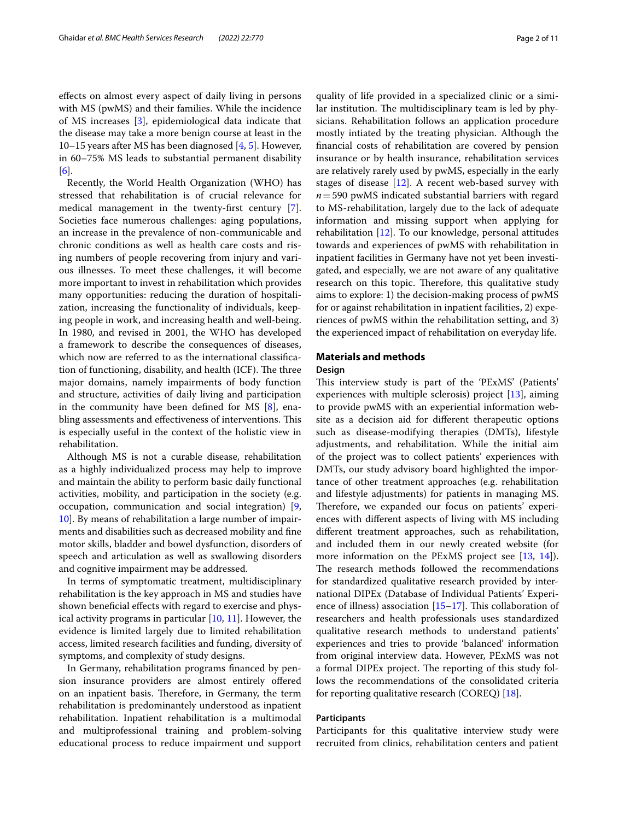efects on almost every aspect of daily living in persons with MS (pwMS) and their families. While the incidence of MS increases [\[3](#page-10-2)], epidemiological data indicate that the disease may take a more benign course at least in the 10–15 years after MS has been diagnosed [\[4](#page-10-3), [5](#page-10-4)]. However, in 60–75% MS leads to substantial permanent disability [[6\]](#page-10-5).

Recently, the World Health Organization (WHO) has stressed that rehabilitation is of crucial relevance for medical management in the twenty-frst century [\[7](#page-10-6)]. Societies face numerous challenges: aging populations, an increase in the prevalence of non-communicable and chronic conditions as well as health care costs and rising numbers of people recovering from injury and various illnesses. To meet these challenges, it will become more important to invest in rehabilitation which provides many opportunities: reducing the duration of hospitalization, increasing the functionality of individuals, keeping people in work, and increasing health and well-being. In 1980, and revised in 2001, the WHO has developed a framework to describe the consequences of diseases, which now are referred to as the international classifcation of functioning, disability, and health (ICF). The three major domains, namely impairments of body function and structure, activities of daily living and participation in the community have been defined for MS  $[8]$  $[8]$ , enabling assessments and effectiveness of interventions. This is especially useful in the context of the holistic view in rehabilitation.

Although MS is not a curable disease, rehabilitation as a highly individualized process may help to improve and maintain the ability to perform basic daily functional activities, mobility, and participation in the society (e.g. occupation, communication and social integration) [\[9](#page-10-8), [10\]](#page-10-9). By means of rehabilitation a large number of impairments and disabilities such as decreased mobility and fne motor skills, bladder and bowel dysfunction, disorders of speech and articulation as well as swallowing disorders and cognitive impairment may be addressed.

In terms of symptomatic treatment, multidisciplinary rehabilitation is the key approach in MS and studies have shown benefcial efects with regard to exercise and physical activity programs in particular [\[10,](#page-10-9) [11\]](#page-10-10). However, the evidence is limited largely due to limited rehabilitation access, limited research facilities and funding, diversity of symptoms, and complexity of study designs.

In Germany, rehabilitation programs fnanced by pension insurance providers are almost entirely offered on an inpatient basis. Therefore, in Germany, the term rehabilitation is predominantely understood as inpatient rehabilitation. Inpatient rehabilitation is a multimodal and multiprofessional training and problem-solving educational process to reduce impairment und support

quality of life provided in a specialized clinic or a similar institution. The multidisciplinary team is led by physicians. Rehabilitation follows an application procedure mostly intiated by the treating physician. Although the fnancial costs of rehabilitation are covered by pension insurance or by health insurance, rehabilitation services are relatively rarely used by pwMS, especially in the early stages of disease [[12\]](#page-10-11). A recent web-based survey with *n*=590 pwMS indicated substantial barriers with regard to MS-rehabilitation, largely due to the lack of adequate information and missing support when applying for rehabilitation [\[12\]](#page-10-11). To our knowledge, personal attitudes towards and experiences of pwMS with rehabilitation in inpatient facilities in Germany have not yet been investigated, and especially, we are not aware of any qualitative research on this topic. Therefore, this qualitative study aims to explore: 1) the decision-making process of pwMS for or against rehabilitation in inpatient facilities, 2) experiences of pwMS within the rehabilitation setting, and 3) the experienced impact of rehabilitation on everyday life.

# **Materials and methods Design**

This interview study is part of the 'PExMS' (Patients' experiences with multiple sclerosis) project [[13\]](#page-10-12), aiming to provide pwMS with an experiential information website as a decision aid for diferent therapeutic options such as disease-modifying therapies (DMTs), lifestyle adjustments, and rehabilitation. While the initial aim of the project was to collect patients' experiences with DMTs, our study advisory board highlighted the importance of other treatment approaches (e.g. rehabilitation and lifestyle adjustments) for patients in managing MS. Therefore, we expanded our focus on patients' experiences with diferent aspects of living with MS including diferent treatment approaches, such as rehabilitation, and included them in our newly created website (for more information on the PExMS project see [[13,](#page-10-12) [14\]](#page-10-13)). The research methods followed the recommendations for standardized qualitative research provided by international DIPEx (Database of Individual Patients' Experience of illness) association  $[15–17]$  $[15–17]$  $[15–17]$  $[15–17]$ . This collaboration of researchers and health professionals uses standardized qualitative research methods to understand patients' experiences and tries to provide 'balanced' information from original interview data. However, PExMS was not a formal DIPEx project. The reporting of this study follows the recommendations of the consolidated criteria for reporting qualitative research (COREQ) [[18](#page-10-16)].

# **Participants**

Participants for this qualitative interview study were recruited from clinics, rehabilitation centers and patient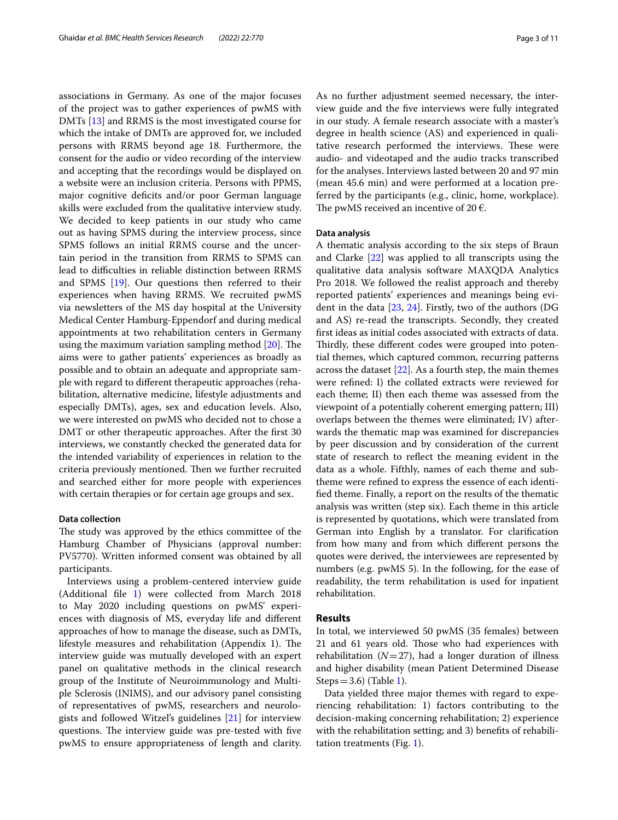associations in Germany. As one of the major focuses of the project was to gather experiences of pwMS with DMTs [\[13](#page-10-12)] and RRMS is the most investigated course for which the intake of DMTs are approved for, we included persons with RRMS beyond age 18. Furthermore, the consent for the audio or video recording of the interview and accepting that the recordings would be displayed on a website were an inclusion criteria. Persons with PPMS, major cognitive defcits and/or poor German language skills were excluded from the qualitative interview study. We decided to keep patients in our study who came out as having SPMS during the interview process, since SPMS follows an initial RRMS course and the uncertain period in the transition from RRMS to SPMS can lead to difficulties in reliable distinction between RRMS and SPMS [[19\]](#page-10-17). Our questions then referred to their experiences when having RRMS. We recruited pwMS via newsletters of the MS day hospital at the University Medical Center Hamburg-Eppendorf and during medical appointments at two rehabilitation centers in Germany using the maximum variation sampling method  $[20]$  $[20]$ . The aims were to gather patients' experiences as broadly as possible and to obtain an adequate and appropriate sample with regard to diferent therapeutic approaches (rehabilitation, alternative medicine, lifestyle adjustments and especially DMTs), ages, sex and education levels. Also, we were interested on pwMS who decided not to chose a DMT or other therapeutic approaches. After the frst 30 interviews, we constantly checked the generated data for the intended variability of experiences in relation to the criteria previously mentioned. Then we further recruited and searched either for more people with experiences with certain therapies or for certain age groups and sex.

#### **Data collection**

The study was approved by the ethics committee of the Hamburg Chamber of Physicians (approval number: PV5770). Written informed consent was obtained by all participants.

Interviews using a problem-centered interview guide (Additional fle [1](#page-9-0)) were collected from March 2018 to May 2020 including questions on pwMS' experiences with diagnosis of MS, everyday life and diferent approaches of how to manage the disease, such as DMTs, lifestyle measures and rehabilitation (Appendix 1). The interview guide was mutually developed with an expert panel on qualitative methods in the clinical research group of the Institute of Neuroimmunology and Multiple Sclerosis (INIMS), and our advisory panel consisting of representatives of pwMS, researchers and neurologists and followed Witzel's guidelines [[21\]](#page-10-19) for interview questions. The interview guide was pre-tested with five pwMS to ensure appropriateness of length and clarity. As no further adjustment seemed necessary, the interview guide and the fve interviews were fully integrated in our study. A female research associate with a master's degree in health science (AS) and experienced in qualitative research performed the interviews. These were audio- and videotaped and the audio tracks transcribed for the analyses. Interviews lasted between 20 and 97 min (mean 45.6 min) and were performed at a location preferred by the participants (e.g., clinic, home, workplace). The pwMS received an incentive of 20  $\epsilon$ .

# **Data analysis**

A thematic analysis according to the six steps of Braun and Clarke [\[22](#page-10-20)] was applied to all transcripts using the qualitative data analysis software MAXQDA Analytics Pro 2018. We followed the realist approach and thereby reported patients' experiences and meanings being evident in the data [\[23](#page-10-21), [24](#page-10-22)]. Firstly, two of the authors (DG and AS) re-read the transcripts. Secondly, they created frst ideas as initial codes associated with extracts of data. Thirdly, these different codes were grouped into potential themes, which captured common, recurring patterns across the dataset [[22\]](#page-10-20). As a fourth step, the main themes were refned: I) the collated extracts were reviewed for each theme; II) then each theme was assessed from the viewpoint of a potentially coherent emerging pattern; III) overlaps between the themes were eliminated; IV) afterwards the thematic map was examined for discrepancies by peer discussion and by consideration of the current state of research to refect the meaning evident in the data as a whole. Fifthly, names of each theme and subtheme were refned to express the essence of each identifed theme. Finally, a report on the results of the thematic analysis was written (step six). Each theme in this article is represented by quotations, which were translated from German into English by a translator. For clarifcation from how many and from which diferent persons the quotes were derived, the interviewees are represented by numbers (e.g. pwMS 5). In the following, for the ease of readability, the term rehabilitation is used for inpatient rehabilitation.

# **Results**

In total, we interviewed 50 pwMS (35 females) between 21 and 61 years old. Those who had experiences with rehabilitation  $(N=27)$ , had a longer duration of illness and higher disability (mean Patient Determined Disease Steps =  $3.6$ ) (Table [1\)](#page-3-0).

Data yielded three major themes with regard to experiencing rehabilitation: 1) factors contributing to the decision-making concerning rehabilitation; 2) experience with the rehabilitation setting; and 3) benefts of rehabilitation treatments (Fig. [1](#page-3-1)).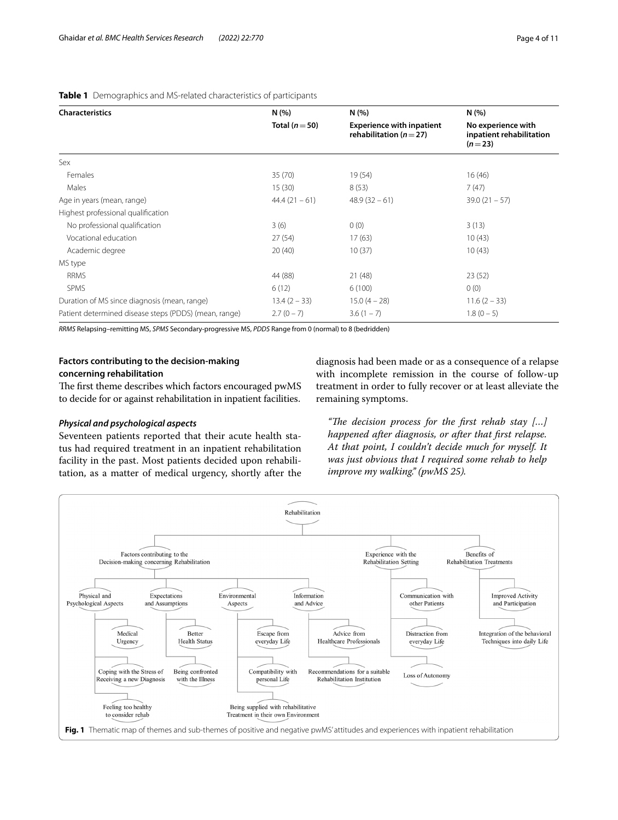| <b>Characteristics</b>                                | N(%)<br>Total ( $n = 50$ ) | N(%<br><b>Experience with inpatient</b><br>rehabilitation ( $n = 27$ ) | N(% )<br>No experience with<br>inpatient rehabilitation<br>$(n=23)$ |
|-------------------------------------------------------|----------------------------|------------------------------------------------------------------------|---------------------------------------------------------------------|
|                                                       |                            |                                                                        |                                                                     |
| Females                                               | 35(70)                     | 19(54)                                                                 | 16(46)                                                              |
| Males                                                 | 15(30)                     | 8(53)                                                                  | 7(47)                                                               |
| Age in years (mean, range)                            | $44.4(21-61)$              | $48.9(32-61)$                                                          | $39.0(21 - 57)$                                                     |
| Highest professional qualification                    |                            |                                                                        |                                                                     |
| No professional qualification                         | 3(6)                       | 0(0)                                                                   | 3(13)                                                               |
| Vocational education                                  | 27(54)                     | 17(63)                                                                 | 10(43)                                                              |
| Academic degree                                       | 20(40)                     | 10(37)                                                                 | 10(43)                                                              |
| MS type                                               |                            |                                                                        |                                                                     |
| <b>RRMS</b>                                           | 44 (88)                    | 21(48)                                                                 | 23(52)                                                              |
| <b>SPMS</b>                                           | 6(12)                      | 6(100)                                                                 | 0(0)                                                                |
| Duration of MS since diagnosis (mean, range)          | $13.4(2 - 33)$             | $15.0(4 - 28)$                                                         | $11.6(2 - 33)$                                                      |
| Patient determined disease steps (PDDS) (mean, range) | $2.7(0 - 7)$               | $3.6(1 - 7)$                                                           | $1.8(0 - 5)$                                                        |

# <span id="page-3-0"></span>**Table 1** Demographics and MS-related characteristics of participants

*RRMS* Relapsing–remitting MS, *SPMS* Secondary-progressive MS, *PDDS* Range from 0 (normal) to 8 (bedridden)

# **Factors contributing to the decision‑making concerning rehabilitation**

The first theme describes which factors encouraged pwMS

to decide for or against rehabilitation in inpatient facilities.

# *Physical and psychological aspects*

Seventeen patients reported that their acute health status had required treatment in an inpatient rehabilitation facility in the past. Most patients decided upon rehabilitation, as a matter of medical urgency, shortly after the diagnosis had been made or as a consequence of a relapse with incomplete remission in the course of follow-up treatment in order to fully recover or at least alleviate the remaining symptoms.

*"The decision process for the first rehab stay [...] happened after diagnosis, or after that frst relapse. At that point, I couldn't decide much for myself. It was just obvious that I required some rehab to help improve my walking." (pwMS 25).*

<span id="page-3-1"></span>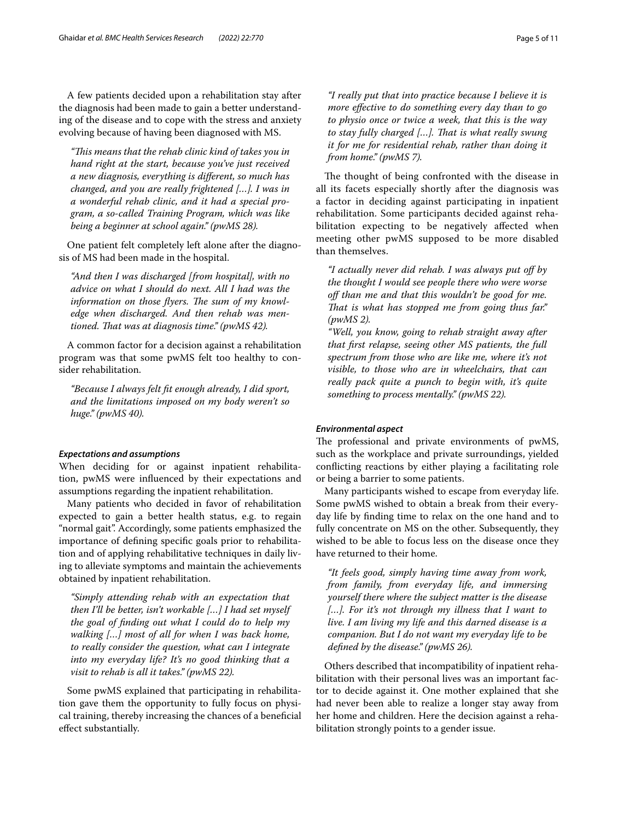A few patients decided upon a rehabilitation stay after the diagnosis had been made to gain a better understanding of the disease and to cope with the stress and anxiety evolving because of having been diagnosed with MS.

*"Tis means that the rehab clinic kind of takes you in hand right at the start, because you've just received a new diagnosis, everything is diferent, so much has changed, and you are really frightened […]. I was in a wonderful rehab clinic, and it had a special program, a so-called Training Program, which was like being a beginner at school again." (pwMS 28).*

One patient felt completely left alone after the diagnosis of MS had been made in the hospital.

*"And then I was discharged [from hospital], with no advice on what I should do next. All I had was the*  information on those flyers. The sum of my knowl*edge when discharged. And then rehab was mentioned. Tat was at diagnosis time." (pwMS 42).*

A common factor for a decision against a rehabilitation program was that some pwMS felt too healthy to consider rehabilitation.

*"Because I always felt ft enough already, I did sport, and the limitations imposed on my body weren't so huge." (pwMS 40).*

## *Expectations and assumptions*

When deciding for or against inpatient rehabilitation, pwMS were infuenced by their expectations and assumptions regarding the inpatient rehabilitation.

Many patients who decided in favor of rehabilitation expected to gain a better health status, e.g. to regain "normal gait". Accordingly, some patients emphasized the importance of defning specifc goals prior to rehabilitation and of applying rehabilitative techniques in daily living to alleviate symptoms and maintain the achievements obtained by inpatient rehabilitation.

*"Simply attending rehab with an expectation that then I'll be better, isn't workable […] I had set myself the goal of fnding out what I could do to help my walking […] most of all for when I was back home, to really consider the question, what can I integrate into my everyday life? It's no good thinking that a visit to rehab is all it takes." (pwMS 22).*

Some pwMS explained that participating in rehabilitation gave them the opportunity to fully focus on physical training, thereby increasing the chances of a benefcial efect substantially.

*"I really put that into practice because I believe it is more efective to do something every day than to go to physio once or twice a week, that this is the way to stay fully charged […]. Tat is what really swung it for me for residential rehab, rather than doing it from home." (pwMS 7).*

The thought of being confronted with the disease in all its facets especially shortly after the diagnosis was a factor in deciding against participating in inpatient rehabilitation. Some participants decided against rehabilitation expecting to be negatively affected when meeting other pwMS supposed to be more disabled than themselves.

*"I actually never did rehab. I was always put of by the thought I would see people there who were worse of than me and that this wouldn't be good for me. That is what has stopped me from going thus far.*" *(pwMS 2).*

*"Well, you know, going to rehab straight away after that frst relapse, seeing other MS patients, the full spectrum from those who are like me, where it's not visible, to those who are in wheelchairs, that can really pack quite a punch to begin with, it's quite something to process mentally." (pwMS 22).*

# *Environmental aspect*

The professional and private environments of pwMS, such as the workplace and private surroundings, yielded conficting reactions by either playing a facilitating role or being a barrier to some patients.

Many participants wished to escape from everyday life. Some pwMS wished to obtain a break from their everyday life by fnding time to relax on the one hand and to fully concentrate on MS on the other. Subsequently, they wished to be able to focus less on the disease once they have returned to their home.

*"It feels good, simply having time away from work, from family, from everyday life, and immersing yourself there where the subject matter is the disease […]. For it's not through my illness that I want to live. I am living my life and this darned disease is a companion. But I do not want my everyday life to be defned by the disease." (pwMS 26).*

Others described that incompatibility of inpatient rehabilitation with their personal lives was an important factor to decide against it. One mother explained that she had never been able to realize a longer stay away from her home and children. Here the decision against a rehabilitation strongly points to a gender issue.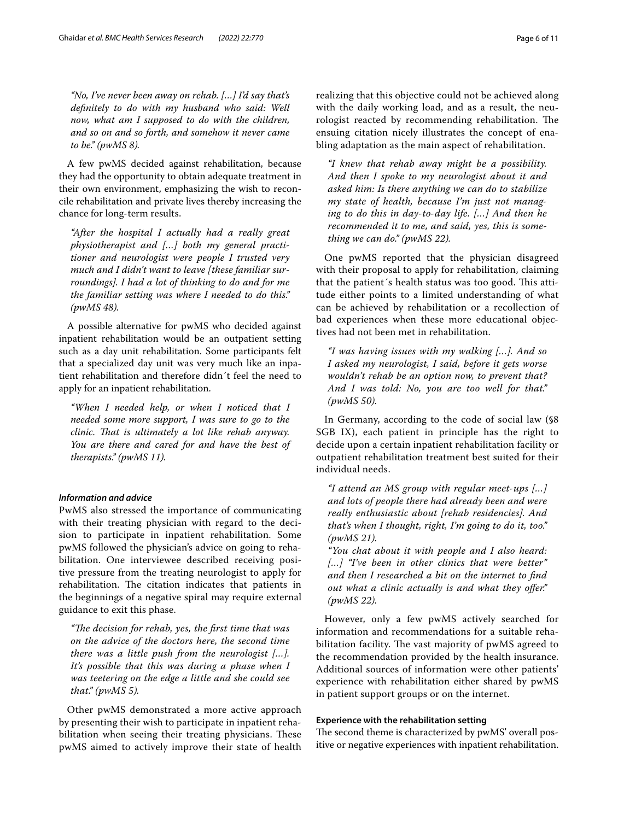*"No, I've never been away on rehab. […] I'd say that's defnitely to do with my husband who said: Well now, what am I supposed to do with the children, and so on and so forth, and somehow it never came to be." (pwMS 8).*

A few pwMS decided against rehabilitation, because they had the opportunity to obtain adequate treatment in their own environment, emphasizing the wish to reconcile rehabilitation and private lives thereby increasing the chance for long-term results.

*"After the hospital I actually had a really great physiotherapist and […] both my general practitioner and neurologist were people I trusted very much and I didn't want to leave [these familiar surroundings]. I had a lot of thinking to do and for me the familiar setting was where I needed to do this." (pwMS 48).*

A possible alternative for pwMS who decided against inpatient rehabilitation would be an outpatient setting such as a day unit rehabilitation. Some participants felt that a specialized day unit was very much like an inpatient rehabilitation and therefore didn´t feel the need to apply for an inpatient rehabilitation.

*"When I needed help, or when I noticed that I needed some more support, I was sure to go to the clinic. Tat is ultimately a lot like rehab anyway. You are there and cared for and have the best of therapists." (pwMS 11).*

# *Information and advice*

PwMS also stressed the importance of communicating with their treating physician with regard to the decision to participate in inpatient rehabilitation. Some pwMS followed the physician's advice on going to rehabilitation. One interviewee described receiving positive pressure from the treating neurologist to apply for rehabilitation. The citation indicates that patients in the beginnings of a negative spiral may require external guidance to exit this phase.

*"Te decision for rehab, yes, the frst time that was on the advice of the doctors here, the second time there was a little push from the neurologist […]. It's possible that this was during a phase when I was teetering on the edge a little and she could see that." (pwMS 5).*

Other pwMS demonstrated a more active approach by presenting their wish to participate in inpatient rehabilitation when seeing their treating physicians. These pwMS aimed to actively improve their state of health realizing that this objective could not be achieved along with the daily working load, and as a result, the neurologist reacted by recommending rehabilitation. The ensuing citation nicely illustrates the concept of enabling adaptation as the main aspect of rehabilitation.

*"I knew that rehab away might be a possibility. And then I spoke to my neurologist about it and asked him: Is there anything we can do to stabilize my state of health, because I'm just not managing to do this in day-to-day life. […] And then he recommended it to me, and said, yes, this is something we can do." (pwMS 22).*

One pwMS reported that the physician disagreed with their proposal to apply for rehabilitation, claiming that the patient's health status was too good. This attitude either points to a limited understanding of what can be achieved by rehabilitation or a recollection of bad experiences when these more educational objectives had not been met in rehabilitation.

*"I was having issues with my walking […]. And so I asked my neurologist, I said, before it gets worse wouldn't rehab be an option now, to prevent that? And I was told: No, you are too well for that." (pwMS 50).*

In Germany, according to the code of social law (§8 SGB IX), each patient in principle has the right to decide upon a certain inpatient rehabilitation facility or outpatient rehabilitation treatment best suited for their individual needs.

*"I attend an MS group with regular meet-ups […] and lots of people there had already been and were really enthusiastic about [rehab residencies]. And that's when I thought, right, I'm going to do it, too." (pwMS 21).*

*"You chat about it with people and I also heard: […] "I've been in other clinics that were better" and then I researched a bit on the internet to fnd out what a clinic actually is and what they ofer." (pwMS 22).*

However, only a few pwMS actively searched for information and recommendations for a suitable rehabilitation facility. The vast majority of pwMS agreed to the recommendation provided by the health insurance. Additional sources of information were other patients' experience with rehabilitation either shared by pwMS in patient support groups or on the internet.

# **Experience with the rehabilitation setting**

The second theme is characterized by pwMS' overall positive or negative experiences with inpatient rehabilitation.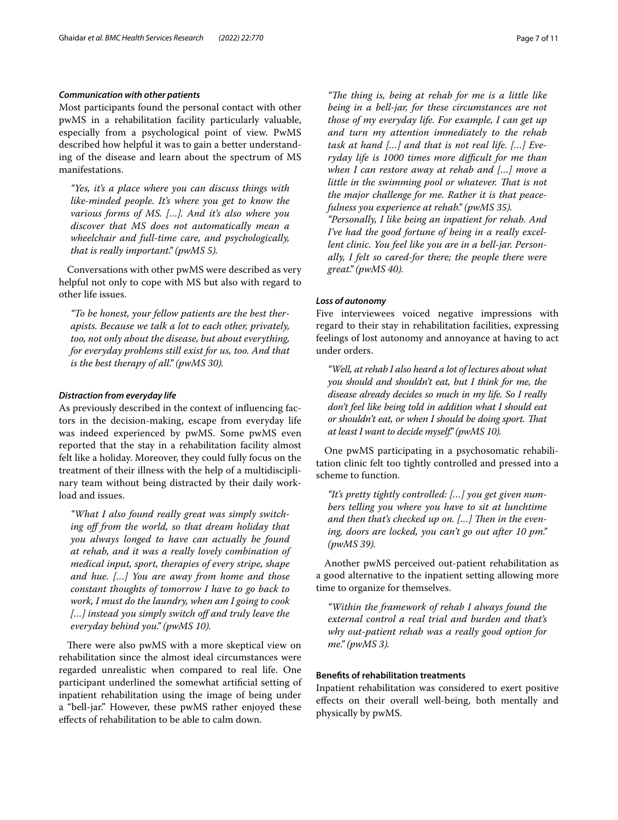# *Communication with other patients*

Most participants found the personal contact with other pwMS in a rehabilitation facility particularly valuable, especially from a psychological point of view. PwMS described how helpful it was to gain a better understanding of the disease and learn about the spectrum of MS manifestations.

*"Yes, it's a place where you can discuss things with like-minded people. It's where you get to know the various forms of MS. […]. And it's also where you discover that MS does not automatically mean a wheelchair and full-time care, and psychologically, that is really important." (pwMS 5).*

Conversations with other pwMS were described as very helpful not only to cope with MS but also with regard to other life issues.

*"To be honest, your fellow patients are the best therapists. Because we talk a lot to each other, privately, too, not only about the disease, but about everything, for everyday problems still exist for us, too. And that is the best therapy of all." (pwMS 30).*

## *Distraction from everyday life*

As previously described in the context of infuencing factors in the decision-making, escape from everyday life was indeed experienced by pwMS. Some pwMS even reported that the stay in a rehabilitation facility almost felt like a holiday. Moreover, they could fully focus on the treatment of their illness with the help of a multidisciplinary team without being distracted by their daily workload and issues.

*"What I also found really great was simply switching of from the world, so that dream holiday that you always longed to have can actually be found at rehab, and it was a really lovely combination of medical input, sport, therapies of every stripe, shape and hue. […] You are away from home and those constant thoughts of tomorrow I have to go back to work, I must do the laundry, when am I going to cook […] instead you simply switch of and truly leave the everyday behind you." (pwMS 10).*

There were also pwMS with a more skeptical view on rehabilitation since the almost ideal circumstances were regarded unrealistic when compared to real life. One participant underlined the somewhat artifcial setting of inpatient rehabilitation using the image of being under a "bell-jar." However, these pwMS rather enjoyed these efects of rehabilitation to be able to calm down.

"The thing is, being at rehab for me is a little like *being in a bell-jar, for these circumstances are not those of my everyday life. For example, I can get up and turn my attention immediately to the rehab task at hand […] and that is not real life. […] Everyday life is 1000 times more difcult for me than when I can restore away at rehab and […] move a little in the swimming pool or whatever. That is not the major challenge for me. Rather it is that peacefulness you experience at rehab." (pwMS 35). "Personally, I like being an inpatient for rehab. And I've had the good fortune of being in a really excellent clinic. You feel like you are in a bell-jar. Personally, I felt so cared-for there; the people there were* 

#### *Loss of autonomy*

*great." (pwMS 40).*

Five interviewees voiced negative impressions with regard to their stay in rehabilitation facilities, expressing feelings of lost autonomy and annoyance at having to act under orders.

*"Well, at rehab I also heard a lot of lectures about what you should and shouldn't eat, but I think for me, the disease already decides so much in my life. So I really don't feel like being told in addition what I should eat or shouldn't eat, or when I should be doing sport. Tat at least I want to decide myself." (pwMS 10).*

One pwMS participating in a psychosomatic rehabilitation clinic felt too tightly controlled and pressed into a scheme to function.

*"It's pretty tightly controlled: […] you get given numbers telling you where you have to sit at lunchtime*  and then that's checked up on. [...] Then in the even*ing, doors are locked, you can't go out after 10 pm." (pwMS 39).*

Another pwMS perceived out-patient rehabilitation as a good alternative to the inpatient setting allowing more time to organize for themselves.

*"Within the framework of rehab I always found the external control a real trial and burden and that's why out-patient rehab was a really good option for me." (pwMS 3).*

## **Benefts of rehabilitation treatments**

Inpatient rehabilitation was considered to exert positive efects on their overall well-being, both mentally and physically by pwMS.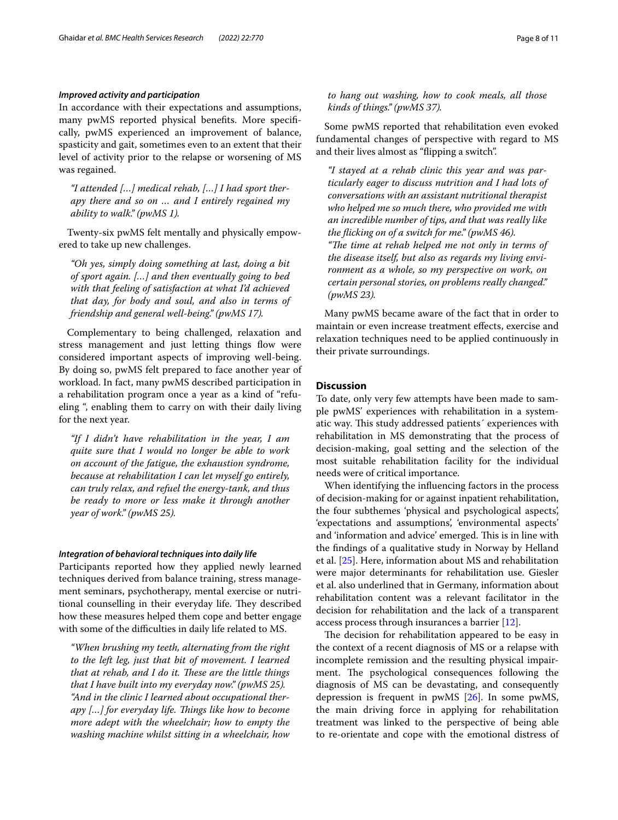#### *Improved activity and participation*

In accordance with their expectations and assumptions, many pwMS reported physical benefts. More specifcally, pwMS experienced an improvement of balance, spasticity and gait, sometimes even to an extent that their level of activity prior to the relapse or worsening of MS was regained.

*"I attended […] medical rehab, […] I had sport therapy there and so on … and I entirely regained my ability to walk." (pwMS 1).*

Twenty-six pwMS felt mentally and physically empowered to take up new challenges.

*"Oh yes, simply doing something at last, doing a bit of sport again. […] and then eventually going to bed with that feeling of satisfaction at what I'd achieved that day, for body and soul, and also in terms of friendship and general well-being." (pwMS 17).*

Complementary to being challenged, relaxation and stress management and just letting things flow were considered important aspects of improving well-being. By doing so, pwMS felt prepared to face another year of workload. In fact, many pwMS described participation in a rehabilitation program once a year as a kind of "refueling ", enabling them to carry on with their daily living for the next year.

*"If I didn't have rehabilitation in the year, I am quite sure that I would no longer be able to work on account of the fatigue, the exhaustion syndrome, because at rehabilitation I can let myself go entirely, can truly relax, and refuel the energy-tank, and thus be ready to more or less make it through another year of work." (pwMS 25).*

#### *Integration of behavioral techniques into daily life*

Participants reported how they applied newly learned techniques derived from balance training, stress management seminars, psychotherapy, mental exercise or nutritional counselling in their everyday life. They described how these measures helped them cope and better engage with some of the difficulties in daily life related to MS.

*"When brushing my teeth, alternating from the right to the left leg, just that bit of movement. I learned*  that at rehab, and I do it. These are the little things *that I have built into my everyday now." (pwMS 25). "And in the clinic I learned about occupational therapy […] for everyday life. Tings like how to become more adept with the wheelchair; how to empty the washing machine whilst sitting in a wheelchair, how* 

*to hang out washing, how to cook meals, all those kinds of things." (pwMS 37).*

Some pwMS reported that rehabilitation even evoked fundamental changes of perspective with regard to MS and their lives almost as "fipping a switch".

*"I stayed at a rehab clinic this year and was particularly eager to discuss nutrition and I had lots of conversations with an assistant nutritional therapist who helped me so much there, who provided me with an incredible number of tips, and that was really like the ficking on of a switch for me." (pwMS 46). "The time at rehab helped me not only in terms of the disease itself, but also as regards my living environment as a whole, so my perspective on work, on certain personal stories, on problems really changed." (pwMS 23).*

Many pwMS became aware of the fact that in order to maintain or even increase treatment efects, exercise and relaxation techniques need to be applied continuously in their private surroundings.

# **Discussion**

To date, only very few attempts have been made to sample pwMS' experiences with rehabilitation in a systematic way. This study addressed patients' experiences with rehabilitation in MS demonstrating that the process of decision-making, goal setting and the selection of the most suitable rehabilitation facility for the individual needs were of critical importance.

When identifying the infuencing factors in the process of decision-making for or against inpatient rehabilitation, the four subthemes 'physical and psychological aspects', 'expectations and assumptions', 'environmental aspects' and 'information and advice' emerged. This is in line with the fndings of a qualitative study in Norway by Helland et al. [[25\]](#page-10-23). Here, information about MS and rehabilitation were major determinants for rehabilitation use. Giesler et al. also underlined that in Germany, information about rehabilitation content was a relevant facilitator in the decision for rehabilitation and the lack of a transparent access process through insurances a barrier [[12\]](#page-10-11).

The decision for rehabilitation appeared to be easy in the context of a recent diagnosis of MS or a relapse with incomplete remission and the resulting physical impairment. The psychological consequences following the diagnosis of MS can be devastating, and consequently depression is frequent in pwMS [[26](#page-10-24)]. In some pwMS, the main driving force in applying for rehabilitation treatment was linked to the perspective of being able to re-orientate and cope with the emotional distress of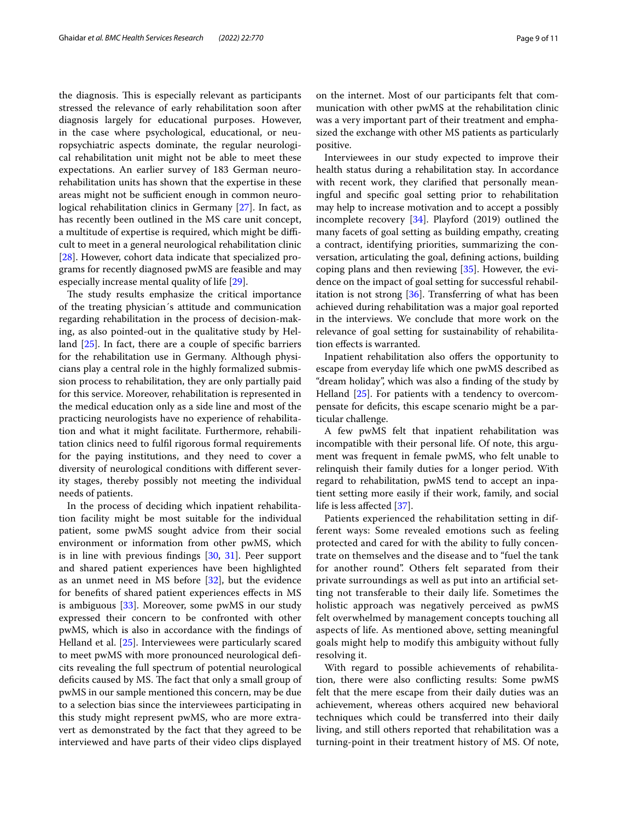the diagnosis. This is especially relevant as participants stressed the relevance of early rehabilitation soon after diagnosis largely for educational purposes. However, in the case where psychological, educational, or neuropsychiatric aspects dominate, the regular neurological rehabilitation unit might not be able to meet these expectations. An earlier survey of 183 German neurorehabilitation units has shown that the expertise in these areas might not be sufficient enough in common neurological rehabilitation clinics in Germany [[27](#page-10-25)]. In fact, as has recently been outlined in the MS care unit concept, a multitude of expertise is required, which might be difficult to meet in a general neurological rehabilitation clinic [[28\]](#page-10-26). However, cohort data indicate that specialized programs for recently diagnosed pwMS are feasible and may especially increase mental quality of life [[29\]](#page-10-27).

The study results emphasize the critical importance of the treating physician´s attitude and communication regarding rehabilitation in the process of decision-making, as also pointed-out in the qualitative study by Helland [\[25](#page-10-23)]. In fact, there are a couple of specifc barriers for the rehabilitation use in Germany. Although physicians play a central role in the highly formalized submission process to rehabilitation, they are only partially paid for this service. Moreover, rehabilitation is represented in the medical education only as a side line and most of the practicing neurologists have no experience of rehabilitation and what it might facilitate. Furthermore, rehabilitation clinics need to fulfl rigorous formal requirements for the paying institutions, and they need to cover a diversity of neurological conditions with diferent severity stages, thereby possibly not meeting the individual needs of patients.

In the process of deciding which inpatient rehabilitation facility might be most suitable for the individual patient, some pwMS sought advice from their social environment or information from other pwMS, which is in line with previous fndings [[30](#page-10-28), [31\]](#page-10-29). Peer support and shared patient experiences have been highlighted as an unmet need in MS before [[32\]](#page-10-30), but the evidence for benefts of shared patient experiences efects in MS is ambiguous [[33\]](#page-10-31). Moreover, some pwMS in our study expressed their concern to be confronted with other pwMS, which is also in accordance with the fndings of Helland et al. [\[25\]](#page-10-23). Interviewees were particularly scared to meet pwMS with more pronounced neurological defcits revealing the full spectrum of potential neurological deficits caused by MS. The fact that only a small group of pwMS in our sample mentioned this concern, may be due to a selection bias since the interviewees participating in this study might represent pwMS, who are more extravert as demonstrated by the fact that they agreed to be interviewed and have parts of their video clips displayed on the internet. Most of our participants felt that communication with other pwMS at the rehabilitation clinic was a very important part of their treatment and emphasized the exchange with other MS patients as particularly positive.

Interviewees in our study expected to improve their health status during a rehabilitation stay. In accordance with recent work, they clarifed that personally meaningful and specifc goal setting prior to rehabilitation may help to increase motivation and to accept a possibly incomplete recovery [\[34\]](#page-10-32). Playford (2019) outlined the many facets of goal setting as building empathy, creating a contract, identifying priorities, summarizing the conversation, articulating the goal, defning actions, building coping plans and then reviewing [[35\]](#page-10-33). However, the evidence on the impact of goal setting for successful rehabilitation is not strong [\[36](#page-10-34)]. Transferring of what has been achieved during rehabilitation was a major goal reported in the interviews. We conclude that more work on the relevance of goal setting for sustainability of rehabilitation efects is warranted.

Inpatient rehabilitation also ofers the opportunity to escape from everyday life which one pwMS described as "dream holiday", which was also a fnding of the study by Helland [[25\]](#page-10-23). For patients with a tendency to overcompensate for defcits, this escape scenario might be a particular challenge.

A few pwMS felt that inpatient rehabilitation was incompatible with their personal life. Of note, this argument was frequent in female pwMS, who felt unable to relinquish their family duties for a longer period. With regard to rehabilitation, pwMS tend to accept an inpatient setting more easily if their work, family, and social life is less afected [\[37\]](#page-10-35).

Patients experienced the rehabilitation setting in different ways: Some revealed emotions such as feeling protected and cared for with the ability to fully concentrate on themselves and the disease and to "fuel the tank for another round". Others felt separated from their private surroundings as well as put into an artifcial setting not transferable to their daily life. Sometimes the holistic approach was negatively perceived as pwMS felt overwhelmed by management concepts touching all aspects of life. As mentioned above, setting meaningful goals might help to modify this ambiguity without fully resolving it.

With regard to possible achievements of rehabilitation, there were also conficting results: Some pwMS felt that the mere escape from their daily duties was an achievement, whereas others acquired new behavioral techniques which could be transferred into their daily living, and still others reported that rehabilitation was a turning-point in their treatment history of MS. Of note,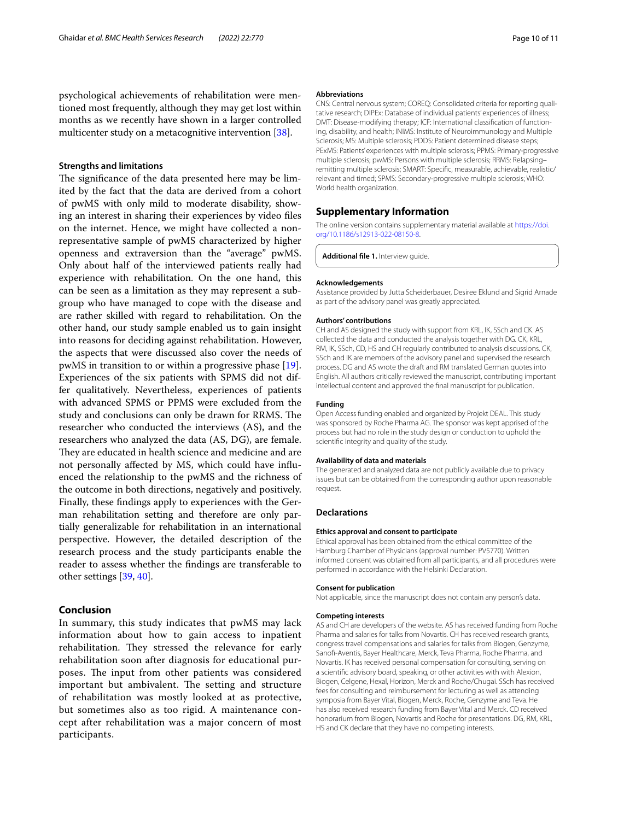psychological achievements of rehabilitation were mentioned most frequently, although they may get lost within months as we recently have shown in a larger controlled multicenter study on a metacognitive intervention [[38\]](#page-10-36).

#### **Strengths and limitations**

The significance of the data presented here may be limited by the fact that the data are derived from a cohort of pwMS with only mild to moderate disability, showing an interest in sharing their experiences by video fles on the internet. Hence, we might have collected a nonrepresentative sample of pwMS characterized by higher openness and extraversion than the "average" pwMS. Only about half of the interviewed patients really had experience with rehabilitation. On the one hand, this can be seen as a limitation as they may represent a subgroup who have managed to cope with the disease and are rather skilled with regard to rehabilitation. On the other hand, our study sample enabled us to gain insight into reasons for deciding against rehabilitation. However, the aspects that were discussed also cover the needs of pwMS in transition to or within a progressive phase [\[19](#page-10-17)]. Experiences of the six patients with SPMS did not differ qualitatively. Nevertheless, experiences of patients with advanced SPMS or PPMS were excluded from the study and conclusions can only be drawn for RRMS. The researcher who conducted the interviews (AS), and the researchers who analyzed the data (AS, DG), are female. They are educated in health science and medicine and are not personally afected by MS, which could have infuenced the relationship to the pwMS and the richness of the outcome in both directions, negatively and positively. Finally, these fndings apply to experiences with the German rehabilitation setting and therefore are only partially generalizable for rehabilitation in an international perspective. However, the detailed description of the research process and the study participants enable the reader to assess whether the fndings are transferable to other settings [[39,](#page-10-37) [40](#page-10-38)].

# **Conclusion**

In summary, this study indicates that pwMS may lack information about how to gain access to inpatient rehabilitation. They stressed the relevance for early rehabilitation soon after diagnosis for educational purposes. The input from other patients was considered important but ambivalent. The setting and structure of rehabilitation was mostly looked at as protective, but sometimes also as too rigid. A maintenance concept after rehabilitation was a major concern of most participants.

#### **Abbreviations**

CNS: Central nervous system; COREQ: Consolidated criteria for reporting qualitative research; DIPEx: Database of individual patients' experiences of illness; DMT: Disease-modifying therapy; ICF: International classification of functioning, disability, and health; INIMS: Institute of Neuroimmunology and Multiple Sclerosis; MS: Multiple sclerosis; PDDS: Patient determined disease steps; PExMS: Patients' experiences with multiple sclerosis; PPMS: Primary-progressive multiple sclerosis; pwMS: Persons with multiple sclerosis; RRMS: Relapsing– remitting multiple sclerosis; SMART: Specifc, measurable, achievable, realistic/ relevant and timed; SPMS: Secondary-progressive multiple sclerosis; WHO: World health organization.

## **Supplementary Information**

The online version contains supplementary material available at [https://doi.](https://doi.org/10.1186/s12913-022-08150-8) [org/10.1186/s12913-022-08150-8](https://doi.org/10.1186/s12913-022-08150-8).

<span id="page-9-0"></span>**Additional fle 1.** Interview guide.

#### **Acknowledgements**

Assistance provided by Jutta Scheiderbauer, Desiree Eklund and Sigrid Arnade as part of the advisory panel was greatly appreciated.

#### **Authors' contributions**

CH and AS designed the study with support from KRL, IK, SSch and CK. AS collected the data and conducted the analysis together with DG. CK, KRL, RM, IK, SSch, CD, HS and CH regularly contributed to analysis discussions. CK, SSch and IK are members of the advisory panel and supervised the research process. DG and AS wrote the draft and RM translated German quotes into English. All authors critically reviewed the manuscript, contributing important intellectual content and approved the fnal manuscript for publication.

#### **Funding**

Open Access funding enabled and organized by Projekt DEAL. This study was sponsored by Roche Pharma AG. The sponsor was kept apprised of the process but had no role in the study design or conduction to uphold the scientifc integrity and quality of the study.

#### **Availability of data and materials**

The generated and analyzed data are not publicly available due to privacy issues but can be obtained from the corresponding author upon reasonable request.

#### **Declarations**

#### **Ethics approval and consent to participate**

Ethical approval has been obtained from the ethical committee of the Hamburg Chamber of Physicians (approval number: PV5770). Written informed consent was obtained from all participants, and all procedures were performed in accordance with the Helsinki Declaration.

#### **Consent for publication**

Not applicable, since the manuscript does not contain any person's data.

#### **Competing interests**

AS and CH are developers of the website. AS has received funding from Roche Pharma and salaries for talks from Novartis. CH has received research grants, congress travel compensations and salaries for talks from Biogen, Genzyme, Sanof-Aventis, Bayer Healthcare, Merck, Teva Pharma, Roche Pharma, and Novartis. IK has received personal compensation for consulting, serving on a scientifc advisory board, speaking, or other activities with with Alexion, Biogen, Celgene, Hexal, Horizon, Merck and Roche/Chugai. SSch has received fees for consulting and reimbursement for lecturing as well as attending symposia from Bayer Vital, Biogen, Merck, Roche, Genzyme and Teva. He has also received research funding from Bayer Vital and Merck. CD received honorarium from Biogen, Novartis and Roche for presentations. DG, RM, KRL, HS and CK declare that they have no competing interests.